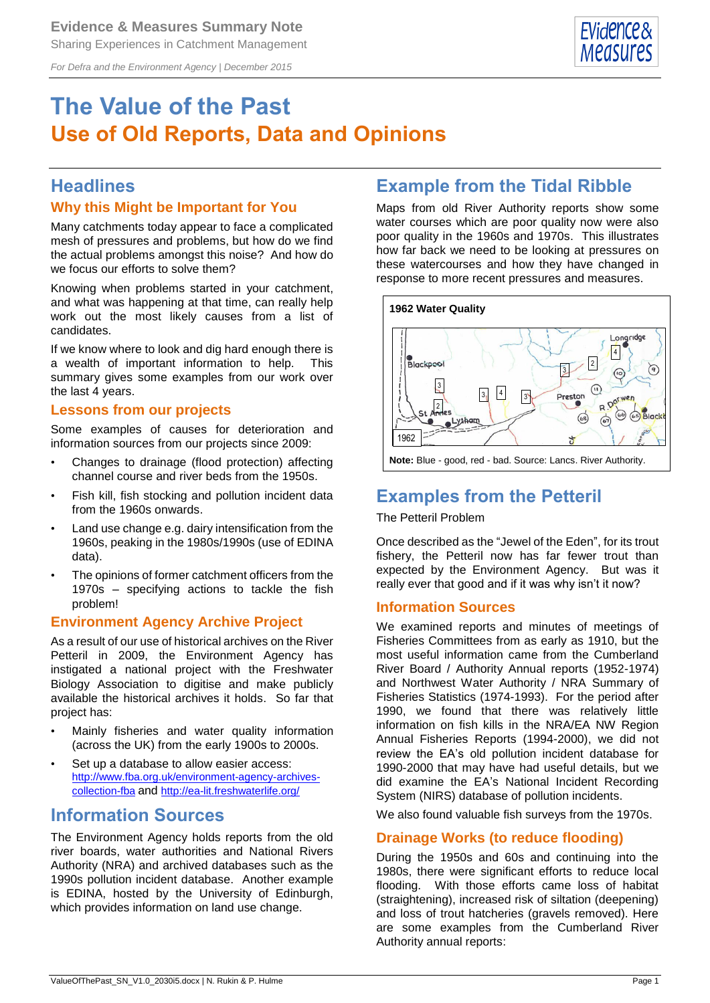*For Defra and the Environment Agency | December 2015*



# **The Value of the Past Use of Old Reports, Data and Opinions**

# **Headlines**

## **Why this Might be Important for You**

Many catchments today appear to face a complicated mesh of pressures and problems, but how do we find the actual problems amongst this noise? And how do we focus our efforts to solve them?

Knowing when problems started in your catchment, and what was happening at that time, can really help work out the most likely causes from a list of candidates.

If we know where to look and dig hard enough there is a wealth of important information to help. This summary gives some examples from our work over the last 4 years.

## **Lessons from our projects**

Some examples of causes for deterioration and information sources from our projects since 2009:

- Changes to drainage (flood protection) affecting channel course and river beds from the 1950s.
- Fish kill, fish stocking and pollution incident data from the 1960s onwards.
- Land use change e.g. dairy intensification from the 1960s, peaking in the 1980s/1990s (use of EDINA data).
- The opinions of former catchment officers from the 1970s – specifying actions to tackle the fish problem!

## **Environment Agency Archive Project**

As a result of our use of historical archives on the River Petteril in 2009, the Environment Agency has instigated a national project with the Freshwater Biology Association to digitise and make publicly available the historical archives it holds. So far that project has:

- Mainly fisheries and water quality information (across the UK) from the early 1900s to 2000s.
- Set up a database to allow easier access: [http://www.fba.org.uk/environment-agency-archives](http://www.fba.org.uk/environment-agency-archives-collection-fba)[collection-fba](http://www.fba.org.uk/environment-agency-archives-collection-fba) and <http://ea-lit.freshwaterlife.org/>

# **Information Sources**

The Environment Agency holds reports from the old river boards, water authorities and National Rivers Authority (NRA) and archived databases such as the 1990s pollution incident database. Another example is EDINA, hosted by the University of Edinburgh, which provides information on land use change.

# **Example from the Tidal Ribble**

Maps from old River Authority reports show some water courses which are poor quality now were also poor quality in the 1960s and 1970s. This illustrates how far back we need to be looking at pressures on these watercourses and how they have changed in response to more recent pressures and measures.



**Note:** Blue - good, red - bad. Source: Lancs. River Authority.

# **Examples from the Petteril**

## The Petteril Problem

Once described as the "Jewel of the Eden", for its trout fishery, the Petteril now has far fewer trout than expected by the Environment Agency. But was it really ever that good and if it was why isn't it now?

## **Information Sources**

We examined reports and minutes of meetings of Fisheries Committees from as early as 1910, but the most useful information came from the Cumberland River Board / Authority Annual reports (1952-1974) and Northwest Water Authority / NRA Summary of Fisheries Statistics (1974-1993). For the period after 1990, we found that there was relatively little information on fish kills in the NRA/EA NW Region Annual Fisheries Reports (1994-2000), we did not review the EA's old pollution incident database for 1990-2000 that may have had useful details, but we did examine the EA's National Incident Recording System (NIRS) database of pollution incidents.

We also found valuable fish surveys from the 1970s.

## **Drainage Works (to reduce flooding)**

During the 1950s and 60s and continuing into the 1980s, there were significant efforts to reduce local flooding. With those efforts came loss of habitat (straightening), increased risk of siltation (deepening) and loss of trout hatcheries (gravels removed). Here are some examples from the Cumberland River Authority annual reports: